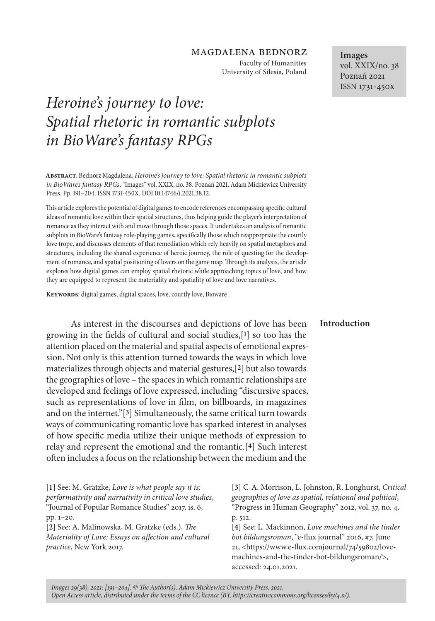## magdalena bednorz

Faculty of Humanities University of Silesia, Poland

# *Heroine's journey to love: Spatial rhetoric in romantic subplots in BioWare's fantasy RPGs*

**Abstract**. Bednorz Magdalena, *Heroine's journey to love: Spatial rhetoric in romantic subplots in BioWare's fantasy RPGs*. "Images" vol. XXIX, no. 38. Poznań 2021. Adam Mickiewicz University Press. Pp. 191–204. ISSN 1731-450X. DOI 10.14746/i.2021.38.12.

This article explores the potential of digital games to encode references encompassing specific cultural ideas of romantic love within their spatial structures, thus helping guide the player's interpretation of romance as they interact with and move through those spaces. It undertakes an analysis of romantic subplots in BioWare's fantasy role-playing games, specifically those which reappropriate the courtly love trope, and discusses elements of that remediation which rely heavily on spatial metaphors and structures, including the shared experience of heroic journey, the role of questing for the development of romance, and spatial positioning of lovers on the game map. Through its analysis, the article explores how digital games can employ spatial rhetoric while approaching topics of love, and how they are equipped to represent the materiality and spatiality of love and love narratives.

**Keywords**: digital games, digital spaces, love, courtly love, Bioware

As interest in the discourses and depictions of love has been growing in the fields of cultural and social studies,[**1**] so too has the attention placed on the material and spatial aspects of emotional expression. Not only is this attention turned towards the ways in which love materializes through objects and material gestures,[**2**] but also towards the geographies of love – the spaces in which romantic relationships are developed and feelings of love expressed, including "discursive spaces, such as representations of love in film, on billboards, in magazines and on the internet."[**3**] Simultaneously, the same critical turn towards ways of communicating romantic love has sparked interest in analyses of how specific media utilize their unique methods of expression to relay and represent the emotional and the romantic.[**4**] Such interest often includes a focus on the relationship between the medium and the

**[1]** See: M. Gratzke, *Love is what people say it is: performativity and narrativity in critical love studies*, "Journal of Popular Romance Studies" 2017, is. 6, pp. 1–20.

**[2]** See: A. Malinowska, M. Gratzke (eds.), *The Materiality of Love: Essays on affection and cultural practice*, New York 2017.

**[3]** C-A. Morrison, L. Johnston, R. Longhurst, *Critical geographies of love as spatial, relational and political*, "Progress in Human Geography" 2012, vol. 37, no. 4, p. 512.

**[4]** See: L. Mackinnon, *Love machines and the tinder bot bildungsroman*, "e-flux journal" 2016, #7, June 21, <https://www.e-flux.comjournal/74/59802/lovemachines-and-the-tinder-bot-bildungsroman/>, accessed: 24.01.2021.

**Images** vol. XXIX/no. 38 Poznań 2021 ISSN 1731-450x

#### **Introduction**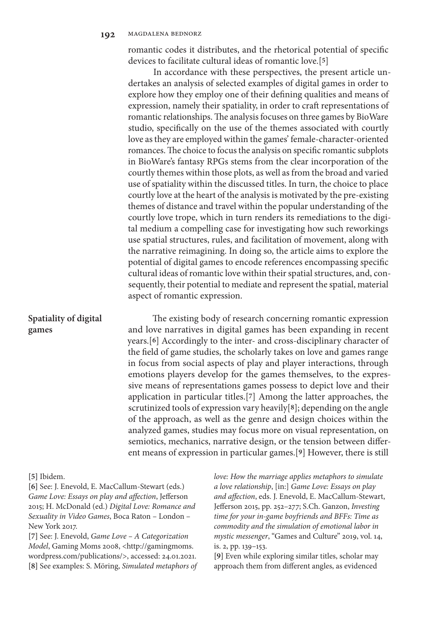romantic codes it distributes, and the rhetorical potential of specific devices to facilitate cultural ideas of romantic love.[**5**]

In accordance with these perspectives, the present article undertakes an analysis of selected examples of digital games in order to explore how they employ one of their defining qualities and means of expression, namely their spatiality, in order to craft representations of romantic relationships. The analysis focuses on three games by BioWare studio, specifically on the use of the themes associated with courtly love as they are employed within the games' female-character-oriented romances. The choice to focus the analysis on specific romantic subplots in BioWare's fantasy RPGs stems from the clear incorporation of the courtly themes within those plots, as well as from the broad and varied use of spatiality within the discussed titles. In turn, the choice to place courtly love at the heart of the analysis is motivated by the pre-existing themes of distance and travel within the popular understanding of the courtly love trope, which in turn renders its remediations to the digital medium a compelling case for investigating how such reworkings use spatial structures, rules, and facilitation of movement, along with the narrative reimagining. In doing so, the article aims to explore the potential of digital games to encode references encompassing specific cultural ideas of romantic love within their spatial structures, and, consequently, their potential to mediate and represent the spatial, material aspect of romantic expression.

# **Spatiality of digital games**

The existing body of research concerning romantic expression and love narratives in digital games has been expanding in recent years.[**6**] Accordingly to the inter- and cross-disciplinary character of the field of game studies, the scholarly takes on love and games range in focus from social aspects of play and player interactions, through emotions players develop for the games themselves, to the expressive means of representations games possess to depict love and their application in particular titles.[**7**] Among the latter approaches, the scrutinized tools of expression vary heavily[**8**]; depending on the angle of the approach, as well as the genre and design choices within the analyzed games, studies may focus more on visual representation, on semiotics, mechanics, narrative design, or the tension between different means of expression in particular games.[**9**] However, there is still

#### **[5]** Ibidem.

**[6]** See: J. Enevold, E. MacCallum-Stewart (eds.) *Game Love: Essays on play and affection*, Jefferson 2015; H. McDonald (ed.) *Digital Love: Romance and Sexuality in Video Games*, Boca Raton – London – New York 2017.

**[7]** See: J. Enevold, *Game Love – A Categorization Model*, Gaming Moms 2008, <http://gamingmoms. wordpress.com/publications/>, accessed: 24.01.2021. **[8]** See examples: S. Möring, *Simulated metaphors of*  *love: How the marriage applies metaphors to simulate a love relationship*, [in:] *Game Love: Essays on play and affection*, eds. J. Enevold, E. MacCallum-Stewart, Jefferson 2015, pp. 252–277; S.Ch. Ganzon, *Investing time for your in-game boyfriends and BFFs: Time as commodity and the simulation of emotional labor in mystic messenger*, "Games and Culture" 2019, vol. 14, is. 2, pp. 139–153.

**[9]** Even while exploring similar titles, scholar may approach them from different angles, as evidenced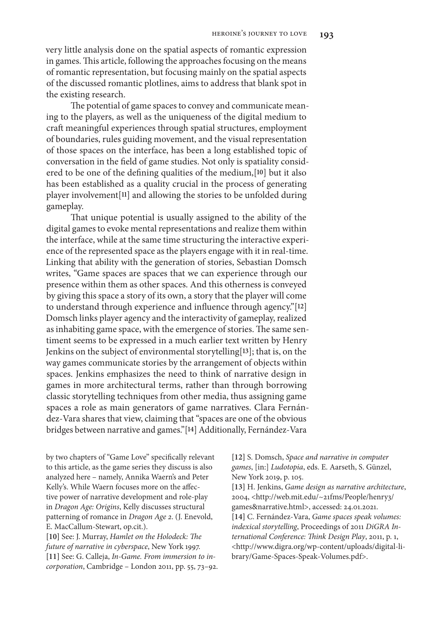very little analysis done on the spatial aspects of romantic expression in games. This article, following the approaches focusing on the means of romantic representation, but focusing mainly on the spatial aspects of the discussed romantic plotlines, aims to address that blank spot in the existing research.

The potential of game spaces to convey and communicate meaning to the players, as well as the uniqueness of the digital medium to craft meaningful experiences through spatial structures, employment of boundaries, rules guiding movement, and the visual representation of those spaces on the interface, has been a long established topic of conversation in the field of game studies. Not only is spatiality considered to be one of the defining qualities of the medium,[**10**] but it also has been established as a quality crucial in the process of generating player involvement[**11**] and allowing the stories to be unfolded during gameplay.

That unique potential is usually assigned to the ability of the digital games to evoke mental representations and realize them within the interface, while at the same time structuring the interactive experience of the represented space as the players engage with it in real-time. Linking that ability with the generation of stories, Sebastian Domsch writes, "Game spaces are spaces that we can experience through our presence within them as other spaces. And this otherness is conveyed by giving this space a story of its own, a story that the player will come to understand through experience and influence through agency."[**12**] Domsch links player agency and the interactivity of gameplay, realized as inhabiting game space, with the emergence of stories. The same sentiment seems to be expressed in a much earlier text written by Henry Jenkins on the subject of environmental storytelling[**13**]; that is, on the way games communicate stories by the arrangement of objects within spaces. Jenkins emphasizes the need to think of narrative design in games in more architectural terms, rather than through borrowing classic storytelling techniques from other media, thus assigning game spaces a role as main generators of game narratives. Clara Fernández-Vara shares that view, claiming that "spaces are one of the obvious bridges between narrative and games."[**14**] Additionally, Fernández-Vara

by two chapters of "Game Love" specifically relevant to this article, as the game series they discuss is also analyzed here – namely, Annika Waern's and Peter Kelly's. While Waern focuses more on the affective power of narrative development and role-play in *Dragon Age: Origins*, Kelly discusses structural patterning of romance in *Dragon Age 2*. (J. Enevold, E. MacCallum-Stewart, op.cit.).

**[10]** See: J. Murray, *Hamlet on the Holodeck: The future of narrative in cyberspace*, New York 1997. **[11]** See: G. Calleja, *In-Game. From immersion to incorporation*, Cambridge – London 2011, pp. 55, 73–92. **[12]** S. Domsch, *Space and narrative in computer games*, [in:] *Ludotopia*, eds. E. Aarseth, S. Günzel, New York 2019, p. 105.

**[13]** H. Jenkins, *Game design as narrative architecture*, 2004, <http://web.mit.edu/~21fms/People/henry3/ games&narrative.html>, accessed: 24.01.2021. **[14]** C. Fernández-Vara, *Game spaces speak volumes: indexical storytelling*, Proceedings of 2011 *DiGRA International Conference: Think Design Play*, 2011, p. 1, <http://www.digra.org/wp-content/uploads/digital-library/Game-Spaces-Speak-Volumes.pdf>.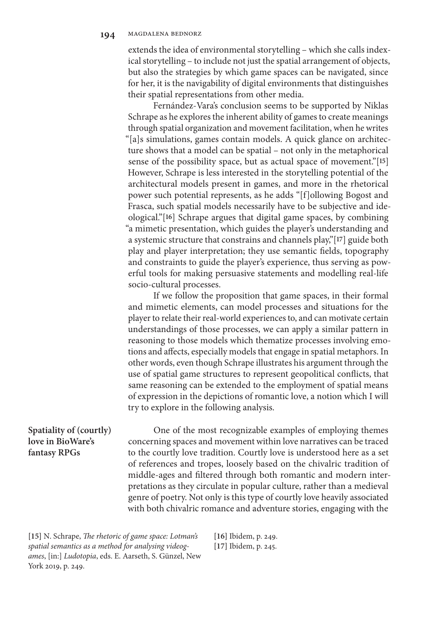extends the idea of environmental storytelling – which she calls indexical storytelling – to include not just the spatial arrangement of objects, but also the strategies by which game spaces can be navigated, since for her, it is the navigability of digital environments that distinguishes their spatial representations from other media.

Fernández-Vara's conclusion seems to be supported by Niklas Schrape as he explores the inherent ability of games to create meanings through spatial organization and movement facilitation, when he writes "[a]s simulations, games contain models. A quick glance on architecture shows that a model can be spatial – not only in the metaphorical sense of the possibility space, but as actual space of movement."[**15**] However, Schrape is less interested in the storytelling potential of the architectural models present in games, and more in the rhetorical power such potential represents, as he adds "[f]ollowing Bogost and Frasca, such spatial models necessarily have to be subjective and ideological."[**16**] Schrape argues that digital game spaces, by combining "a mimetic presentation, which guides the player's understanding and a systemic structure that constrains and channels play,"[**17**] guide both play and player interpretation; they use semantic fields, topography and constraints to guide the player's experience, thus serving as powerful tools for making persuasive statements and modelling real-life socio-cultural processes.

If we follow the proposition that game spaces, in their formal and mimetic elements, can model processes and situations for the player to relate their real-world experiences to, and can motivate certain understandings of those processes, we can apply a similar pattern in reasoning to those models which thematize processes involving emotions and affects, especially models that engage in spatial metaphors. In other words, even though Schrape illustrates his argument through the use of spatial game structures to represent geopolitical conflicts, that same reasoning can be extended to the employment of spatial means of expression in the depictions of romantic love, a notion which I will try to explore in the following analysis.

# **Spatiality of (courtly) love in BioWare's fantasy RPGs**

One of the most recognizable examples of employing themes concerning spaces and movement within love narratives can be traced to the courtly love tradition. Courtly love is understood here as a set of references and tropes, loosely based on the chivalric tradition of middle-ages and filtered through both romantic and modern interpretations as they circulate in popular culture, rather than a medieval genre of poetry. Not only is this type of courtly love heavily associated with both chivalric romance and adventure stories, engaging with the

**[15]** N. Schrape, *The rhetoric of game space: Lotman's spatial semantics as a method for analysing videogames*, [in:] *Ludotopia*, eds. E. Aarseth, S. Günzel, New York 2019, p. 249.

**[16]** Ibidem, p. 249. **[17]** Ibidem, p. 245.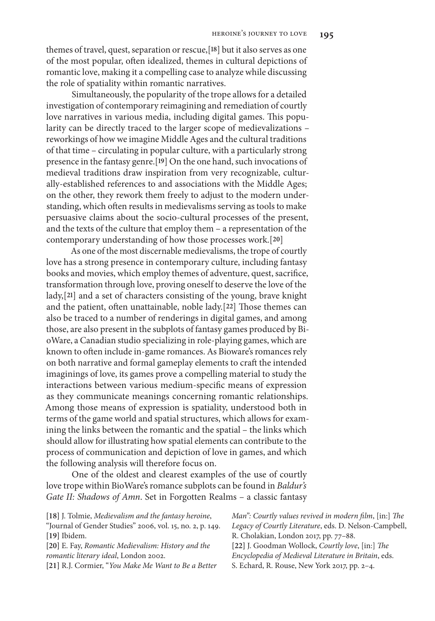themes of travel, quest, separation or rescue,[**18**] but it also serves as one of the most popular, often idealized, themes in cultural depictions of romantic love, making it a compelling case to analyze while discussing the role of spatiality within romantic narratives.

Simultaneously, the popularity of the trope allows for a detailed investigation of contemporary reimagining and remediation of courtly love narratives in various media, including digital games. This popularity can be directly traced to the larger scope of medievalizations – reworkings of how we imagine Middle Ages and the cultural traditions of that time – circulating in popular culture, with a particularly strong presence in the fantasy genre.[**19**] On the one hand, such invocations of medieval traditions draw inspiration from very recognizable, culturally-established references to and associations with the Middle Ages; on the other, they rework them freely to adjust to the modern understanding, which often results in medievalisms serving as tools to make persuasive claims about the socio-cultural processes of the present, and the texts of the culture that employ them – a representation of the contemporary understanding of how those processes work.[**20**]

As one of the most discernable medievalisms, the trope of courtly love has a strong presence in contemporary culture, including fantasy books and movies, which employ themes of adventure, quest, sacrifice, transformation through love, proving oneself to deserve the love of the lady,[**21**] and a set of characters consisting of the young, brave knight and the patient, often unattainable, noble lady.[**22**] Those themes can also be traced to a number of renderings in digital games, and among those, are also present in the subplots of fantasy games produced by BioWare, a Canadian studio specializing in role-playing games, which are known to often include in-game romances. As Bioware's romances rely on both narrative and formal gameplay elements to craft the intended imaginings of love, its games prove a compelling material to study the interactions between various medium-specific means of expression as they communicate meanings concerning romantic relationships. Among those means of expression is spatiality, understood both in terms of the game world and spatial structures, which allows for examining the links between the romantic and the spatial – the links which should allow for illustrating how spatial elements can contribute to the process of communication and depiction of love in games, and which the following analysis will therefore focus on.

One of the oldest and clearest examples of the use of courtly love trope within BioWare's romance subplots can be found in *Baldur's Gate II: Shadows of Amn*. Set in Forgotten Realms – a classic fantasy

| Man": Courtly values revived in modern film, [in:] The |
|--------------------------------------------------------|
| Legacy of Courtly Literature, eds. D. Nelson-Campbell, |
| R. Cholakian, London 2017, pp. 77-88.                  |
| [22] J. Goodman Wollock, Courtly love, [in:] The       |
| Encyclopedia of Medieval Literature in Britain, eds.   |
| S. Echard, R. Rouse, New York 2017, pp. 2-4.           |
|                                                        |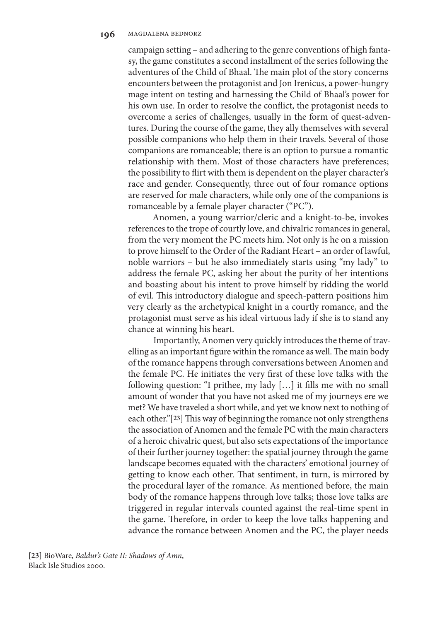campaign setting – and adhering to the genre conventions of high fantasy, the game constitutes a second installment of the series following the adventures of the Child of Bhaal. The main plot of the story concerns encounters between the protagonist and Jon Irenicus, a power-hungry mage intent on testing and harnessing the Child of Bhaal's power for his own use. In order to resolve the conflict, the protagonist needs to overcome a series of challenges, usually in the form of quest-adventures. During the course of the game, they ally themselves with several possible companions who help them in their travels. Several of those companions are romanceable; there is an option to pursue a romantic relationship with them. Most of those characters have preferences; the possibility to flirt with them is dependent on the player character's race and gender. Consequently, three out of four romance options are reserved for male characters, while only one of the companions is romanceable by a female player character ("PC").

Anomen, a young warrior/cleric and a knight-to-be, invokes references to the trope of courtly love, and chivalric romances in general, from the very moment the PC meets him. Not only is he on a mission to prove himself to the Order of the Radiant Heart – an order of lawful, noble warriors – but he also immediately starts using "my lady" to address the female PC, asking her about the purity of her intentions and boasting about his intent to prove himself by ridding the world of evil. This introductory dialogue and speech-pattern positions him very clearly as the archetypical knight in a courtly romance, and the protagonist must serve as his ideal virtuous lady if she is to stand any chance at winning his heart.

Importantly, Anomen very quickly introduces the theme of travelling as an important figure within the romance as well. The main body of the romance happens through conversations between Anomen and the female PC. He initiates the very first of these love talks with the following question: "I prithee, my lady […] it fills me with no small amount of wonder that you have not asked me of my journeys ere we met? We have traveled a short while, and yet we know next to nothing of each other."[**23**] This way of beginning the romance not only strengthens the association of Anomen and the female PC with the main characters of a heroic chivalric quest, but also sets expectations of the importance of their further journey together: the spatial journey through the game landscape becomes equated with the characters' emotional journey of getting to know each other. That sentiment, in turn, is mirrored by the procedural layer of the romance. As mentioned before, the main body of the romance happens through love talks; those love talks are triggered in regular intervals counted against the real-time spent in the game. Therefore, in order to keep the love talks happening and advance the romance between Anomen and the PC, the player needs

**[23]** BioWare, *Baldur's Gate II: Shadows of Amn*, Black Isle Studios 2000.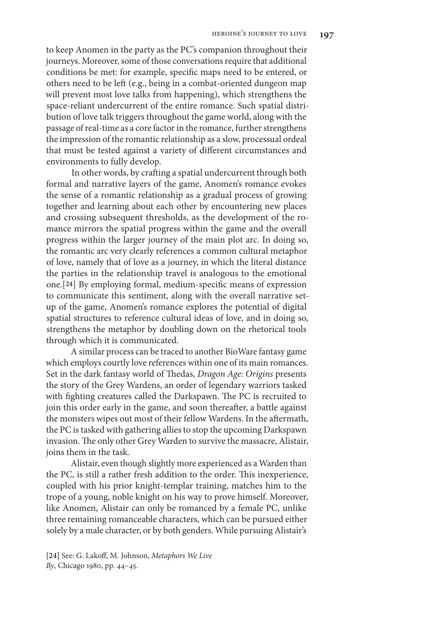to keep Anomen in the party as the PC's companion throughout their journeys. Moreover, some of those conversations require that additional conditions be met: for example, specific maps need to be entered, or others need to be left (e.g., being in a combat-oriented dungeon map will prevent most love talks from happening), which strengthens the space-reliant undercurrent of the entire romance. Such spatial distribution of love talk triggers throughout the game world, along with the passage of real-time as a core factor in the romance, further strengthens the impression of the romantic relationship as a slow, processual ordeal that must be tested against a variety of different circumstances and environments to fully develop.

In other words, by crafting a spatial undercurrent through both formal and narrative layers of the game, Anomen's romance evokes the sense of a romantic relationship as a gradual process of growing together and learning about each other by encountering new places and crossing subsequent thresholds, as the development of the romance mirrors the spatial progress within the game and the overall progress within the larger journey of the main plot arc. In doing so, the romantic arc very clearly references a common cultural metaphor of love, namely that of love as a journey, in which the literal distance the parties in the relationship travel is analogous to the emotional one.[**24**] By employing formal, medium-specific means of expression to communicate this sentiment, along with the overall narrative setup of the game, Anomen's romance explores the potential of digital spatial structures to reference cultural ideas of love, and in doing so, strengthens the metaphor by doubling down on the rhetorical tools through which it is communicated.

A similar process can be traced to another BioWare fantasy game which employs courtly love references within one of its main romances. Set in the dark fantasy world of Thedas, *Dragon Age: Origins* presents the story of the Grey Wardens, an order of legendary warriors tasked with fighting creatures called the Darkspawn. The PC is recruited to join this order early in the game, and soon thereafter, a battle against the monsters wipes out most of their fellow Wardens. In the aftermath, the PC is tasked with gathering allies to stop the upcoming Darkspawn invasion. The only other Grey Warden to survive the massacre, Alistair, joins them in the task.

Alistair, even though slightly more experienced as a Warden than the PC, is still a rather fresh addition to the order. This inexperience, coupled with his prior knight-templar training, matches him to the trope of a young, noble knight on his way to prove himself. Moreover, like Anomen, Alistair can only be romanced by a female PC, unlike three remaining romanceable characters, which can be pursued either solely by a male character, or by both genders. While pursuing Alistair's

**[24]** See: G. Lakoff, M. Johnson, *Metaphors We Live By*, Chicago 1980, pp. 44–45.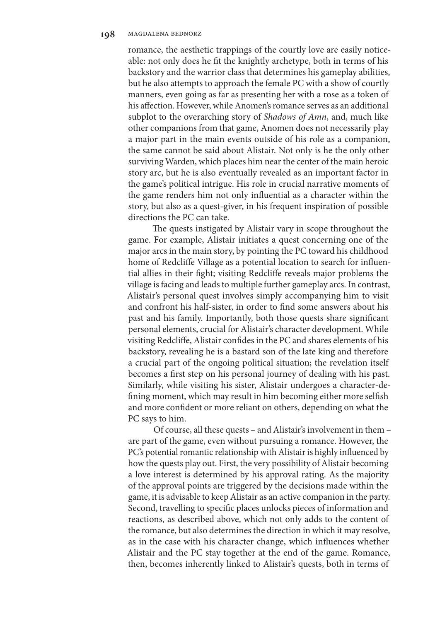romance, the aesthetic trappings of the courtly love are easily noticeable: not only does he fit the knightly archetype, both in terms of his backstory and the warrior class that determines his gameplay abilities, but he also attempts to approach the female PC with a show of courtly manners, even going as far as presenting her with a rose as a token of his affection. However, while Anomen's romance serves as an additional subplot to the overarching story of *Shadows of Amn*, and, much like other companions from that game, Anomen does not necessarily play a major part in the main events outside of his role as a companion, the same cannot be said about Alistair. Not only is he the only other surviving Warden, which places him near the center of the main heroic story arc, but he is also eventually revealed as an important factor in the game's political intrigue. His role in crucial narrative moments of the game renders him not only influential as a character within the story, but also as a quest-giver, in his frequent inspiration of possible directions the PC can take.

The quests instigated by Alistair vary in scope throughout the game. For example, Alistair initiates a quest concerning one of the major arcs in the main story, by pointing the PC toward his childhood home of Redcliffe Village as a potential location to search for influential allies in their fight; visiting Redcliffe reveals major problems the village is facing and leads to multiple further gameplay arcs. In contrast, Alistair's personal quest involves simply accompanying him to visit and confront his half-sister, in order to find some answers about his past and his family. Importantly, both those quests share significant personal elements, crucial for Alistair's character development. While visiting Redcliffe, Alistair confides in the PC and shares elements of his backstory, revealing he is a bastard son of the late king and therefore a crucial part of the ongoing political situation; the revelation itself becomes a first step on his personal journey of dealing with his past. Similarly, while visiting his sister, Alistair undergoes a character-defining moment, which may result in him becoming either more selfish and more confident or more reliant on others, depending on what the PC says to him.

Of course, all these quests – and Alistair's involvement in them – are part of the game, even without pursuing a romance. However, the PC's potential romantic relationship with Alistair is highly influenced by how the quests play out. First, the very possibility of Alistair becoming a love interest is determined by his approval rating. As the majority of the approval points are triggered by the decisions made within the game, it is advisable to keep Alistair as an active companion in the party. Second, travelling to specific places unlocks pieces of information and reactions, as described above, which not only adds to the content of the romance, but also determines the direction in which it may resolve, as in the case with his character change, which influences whether Alistair and the PC stay together at the end of the game. Romance, then, becomes inherently linked to Alistair's quests, both in terms of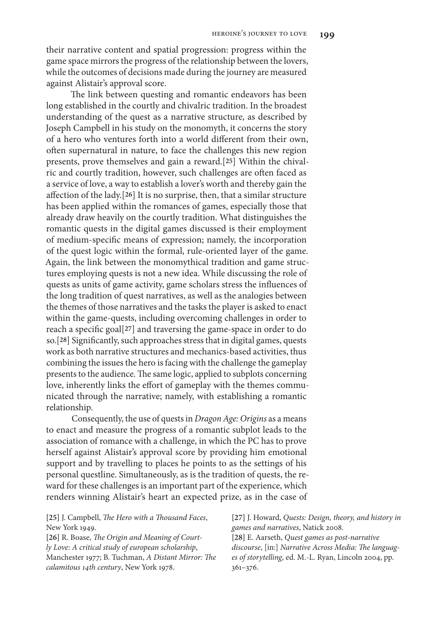their narrative content and spatial progression: progress within the game space mirrors the progress of the relationship between the lovers, while the outcomes of decisions made during the journey are measured against Alistair's approval score.

The link between questing and romantic endeavors has been long established in the courtly and chivalric tradition. In the broadest understanding of the quest as a narrative structure, as described by Joseph Campbell in his study on the monomyth, it concerns the story of a hero who ventures forth into a world different from their own, often supernatural in nature, to face the challenges this new region presents, prove themselves and gain a reward.[**25**] Within the chivalric and courtly tradition, however, such challenges are often faced as a service of love, a way to establish a lover's worth and thereby gain the affection of the lady.[**26**] It is no surprise, then, that a similar structure has been applied within the romances of games, especially those that already draw heavily on the courtly tradition. What distinguishes the romantic quests in the digital games discussed is their employment of medium-specific means of expression; namely, the incorporation of the quest logic within the formal, rule-oriented layer of the game. Again, the link between the monomythical tradition and game structures employing quests is not a new idea. While discussing the role of quests as units of game activity, game scholars stress the influences of the long tradition of quest narratives, as well as the analogies between the themes of those narratives and the tasks the player is asked to enact within the game-quests, including overcoming challenges in order to reach a specific goal[**27**] and traversing the game-space in order to do so.[**28**] Significantly, such approaches stress that in digital games, quests work as both narrative structures and mechanics-based activities, thus combining the issues the hero is facing with the challenge the gameplay presents to the audience. The same logic, applied to subplots concerning love, inherently links the effort of gameplay with the themes communicated through the narrative; namely, with establishing a romantic relationship.

Consequently, the use of quests in *Dragon Age: Origins* as a means to enact and measure the progress of a romantic subplot leads to the association of romance with a challenge, in which the PC has to prove herself against Alistair's approval score by providing him emotional support and by travelling to places he points to as the settings of his personal questline. Simultaneously, as is the tradition of quests, the reward for these challenges is an important part of the experience, which renders winning Alistair's heart an expected prize, as in the case of

| [25] J. Campbell, <i>The Hero with a Thousand Faces</i> , | [27] J. Howard, Quests: Design, theory, and history in |
|-----------------------------------------------------------|--------------------------------------------------------|
| New York 1949.                                            | games and narratives, Natick 2008.                     |
| [26] R. Boase, The Origin and Meaning of Court-           | [28] E. Aarseth, Quest games as post-narrative         |
| ly Love: A critical study of european scholarship,        | discourse, [in:] Narrative Across Media: The languag-  |
| Manchester 1977; B. Tuchman, A Distant Mirror: The        | es of storytelling, ed. M.-L. Ryan, Lincoln 2004, pp.  |
| calamitous 14th century, New York 1978.                   | $361 - 376.$                                           |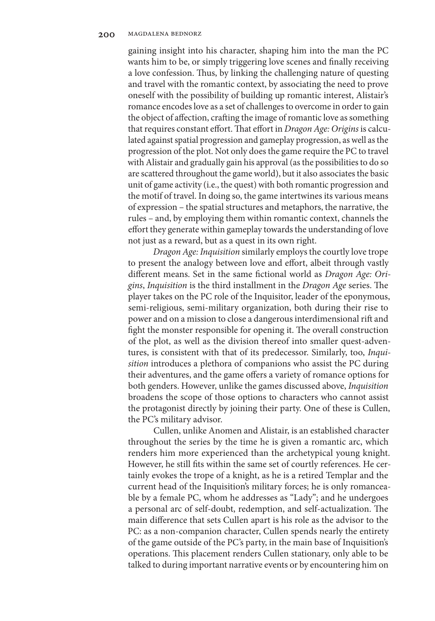gaining insight into his character, shaping him into the man the PC wants him to be, or simply triggering love scenes and finally receiving a love confession. Thus, by linking the challenging nature of questing and travel with the romantic context, by associating the need to prove oneself with the possibility of building up romantic interest, Alistair's romance encodes love as a set of challenges to overcome in order to gain the object of affection, crafting the image of romantic love as something that requires constant effort. That effort in *Dragon Age: Origins* is calculated against spatial progression and gameplay progression, as well as the progression of the plot. Not only does the game require the PC to travel with Alistair and gradually gain his approval (as the possibilities to do so are scattered throughout the game world), but it also associates the basic unit of game activity (i.e., the quest) with both romantic progression and the motif of travel. In doing so, the game intertwines its various means of expression – the spatial structures and metaphors, the narrative, the rules – and, by employing them within romantic context, channels the effort they generate within gameplay towards the understanding of love not just as a reward, but as a quest in its own right.

*Dragon Age: Inquisition* similarly employs the courtly love trope to present the analogy between love and effort, albeit through vastly different means. Set in the same fictional world as *Dragon Age: Origins*, *Inquisition* is the third installment in the *Dragon Age* series. The player takes on the PC role of the Inquisitor, leader of the eponymous, semi-religious, semi-military organization, both during their rise to power and on a mission to close a dangerous interdimensional rift and fight the monster responsible for opening it. The overall construction of the plot, as well as the division thereof into smaller quest-adventures, is consistent with that of its predecessor. Similarly, too, *Inquisition* introduces a plethora of companions who assist the PC during their adventures, and the game offers a variety of romance options for both genders. However, unlike the games discussed above, *Inquisition* broadens the scope of those options to characters who cannot assist the protagonist directly by joining their party. One of these is Cullen, the PC's military advisor.

Cullen, unlike Anomen and Alistair, is an established character throughout the series by the time he is given a romantic arc, which renders him more experienced than the archetypical young knight. However, he still fits within the same set of courtly references. He certainly evokes the trope of a knight, as he is a retired Templar and the current head of the Inquisition's military forces; he is only romanceable by a female PC, whom he addresses as "Lady"; and he undergoes a personal arc of self-doubt, redemption, and self-actualization. The main difference that sets Cullen apart is his role as the advisor to the PC: as a non-companion character, Cullen spends nearly the entirety of the game outside of the PC's party, in the main base of Inquisition's operations. This placement renders Cullen stationary, only able to be talked to during important narrative events or by encountering him on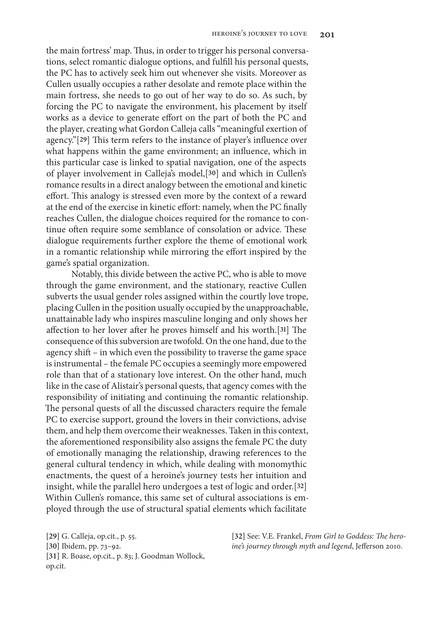the main fortress' map. Thus, in order to trigger his personal conversations, select romantic dialogue options, and fulfill his personal quests, the PC has to actively seek him out whenever she visits. Moreover as Cullen usually occupies a rather desolate and remote place within the main fortress, she needs to go out of her way to do so. As such, by forcing the PC to navigate the environment, his placement by itself works as a device to generate effort on the part of both the PC and the player, creating what Gordon Calleja calls "meaningful exertion of agency."[**29**] This term refers to the instance of player's influence over what happens within the game environment; an influence, which in this particular case is linked to spatial navigation, one of the aspects of player involvement in Calleja's model,[**30**] and which in Cullen's romance results in a direct analogy between the emotional and kinetic effort. This analogy is stressed even more by the context of a reward at the end of the exercise in kinetic effort: namely, when the PC finally reaches Cullen, the dialogue choices required for the romance to continue often require some semblance of consolation or advice. These dialogue requirements further explore the theme of emotional work in a romantic relationship while mirroring the effort inspired by the game's spatial organization.

Notably, this divide between the active PC, who is able to move through the game environment, and the stationary, reactive Cullen subverts the usual gender roles assigned within the courtly love trope, placing Cullen in the position usually occupied by the unapproachable, unattainable lady who inspires masculine longing and only shows her affection to her lover after he proves himself and his worth.[**31**] The consequence of this subversion are twofold. On the one hand, due to the agency shift – in which even the possibility to traverse the game space is instrumental – the female PC occupies a seemingly more empowered role than that of a stationary love interest. On the other hand, much like in the case of Alistair's personal quests, that agency comes with the responsibility of initiating and continuing the romantic relationship. The personal quests of all the discussed characters require the female PC to exercise support, ground the lovers in their convictions, advise them, and help them overcome their weaknesses. Taken in this context, the aforementioned responsibility also assigns the female PC the duty of emotionally managing the relationship, drawing references to the general cultural tendency in which, while dealing with monomythic enactments, the quest of a heroine's journey tests her intuition and insight, while the parallel hero undergoes a test of logic and order.[**32**] Within Cullen's romance, this same set of cultural associations is employed through the use of structural spatial elements which facilitate

**[29]** G. Calleja, op.cit., p. 55. **[30]** Ibidem, pp. 73–92. **[31]** R. Boase, op.cit., p. 83; J. Goodman Wollock, op.cit.

**[32]** See: V.E. Frankel, *From Girl to Goddess: The heroine's journey through myth and legend*, Jefferson 2010.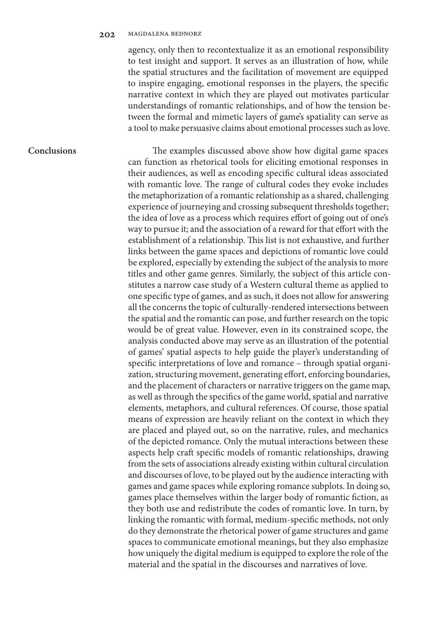agency, only then to recontextualize it as an emotional responsibility to test insight and support. It serves as an illustration of how, while the spatial structures and the facilitation of movement are equipped to inspire engaging, emotional responses in the players, the specific narrative context in which they are played out motivates particular understandings of romantic relationships, and of how the tension between the formal and mimetic layers of game's spatiality can serve as a tool to make persuasive claims about emotional processes such as love.

#### **Conclusions**

The examples discussed above show how digital game spaces can function as rhetorical tools for eliciting emotional responses in their audiences, as well as encoding specific cultural ideas associated with romantic love. The range of cultural codes they evoke includes the metaphorization of a romantic relationship as a shared, challenging experience of journeying and crossing subsequent thresholds together; the idea of love as a process which requires effort of going out of one's way to pursue it; and the association of a reward for that effort with the establishment of a relationship. This list is not exhaustive, and further links between the game spaces and depictions of romantic love could be explored, especially by extending the subject of the analysis to more titles and other game genres. Similarly, the subject of this article constitutes a narrow case study of a Western cultural theme as applied to one specific type of games, and as such, it does not allow for answering all the concerns the topic of culturally-rendered intersections between the spatial and the romantic can pose, and further research on the topic would be of great value. However, even in its constrained scope, the analysis conducted above may serve as an illustration of the potential of games' spatial aspects to help guide the player's understanding of specific interpretations of love and romance – through spatial organization, structuring movement, generating effort, enforcing boundaries, and the placement of characters or narrative triggers on the game map, as well as through the specifics of the game world, spatial and narrative elements, metaphors, and cultural references. Of course, those spatial means of expression are heavily reliant on the context in which they are placed and played out, so on the narrative, rules, and mechanics of the depicted romance. Only the mutual interactions between these aspects help craft specific models of romantic relationships, drawing from the sets of associations already existing within cultural circulation and discourses of love, to be played out by the audience interacting with games and game spaces while exploring romance subplots. In doing so, games place themselves within the larger body of romantic fiction, as they both use and redistribute the codes of romantic love. In turn, by linking the romantic with formal, medium-specific methods, not only do they demonstrate the rhetorical power of game structures and game spaces to communicate emotional meanings, but they also emphasize how uniquely the digital medium is equipped to explore the role of the material and the spatial in the discourses and narratives of love.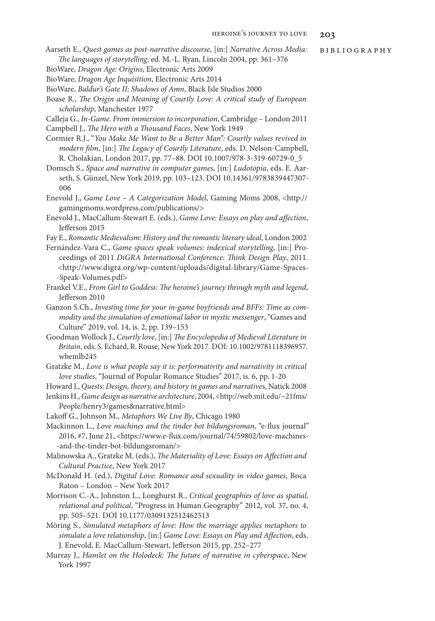- Aarseth E., *Quest games as post-narrative discourse*, [in:] *Narrative Across Media: The languages of storytelling*, ed. M.-L. Ryan, Lincoln 2004, pp. 361–376
- BioWare, *Dragon Age: Origins*, Electronic Arts 2009
- BioWare, *Dragon Age Inquisition*, Electronic Arts 2014
- BioWare, *Baldur's Gate II: Shadows of Amn*, Black Isle Studios 2000
- Boase R., *The Origin and Meaning of Courtly Love: A critical study of European scholarship*, Manchester 1977
- Calleja G., *In-Game. From immersion to incorporation*, Cambridge London 2011 Campbell J., *The Hero with a Thousand Faces*, New York 1949
- Cormier R.J., "*You Make Me Want to Be a Better Man": Courtly values revived in modern film*, [in:] *The Legacy of Courtly Literature*, eds. D. Nelson-Campbell, R. Cholakian, London 2017, pp. 77–88. DOI 10.1007/978-3-319-60729-0\_5
- Domsch S., *Space and narrative in computer games*, [in:] *Ludotopia*, eds. E. Aarseth, S. Günzel, New York 2019, pp. 103–123. DOI 10.14361/9783839447307- 006
- Enevold J., *Game Love A Categorization Model*, Gaming Moms 2008, <http:// gamingmoms.wordpress.com/publications/>
- Enevold J., MacCallum-Stewart E. (eds.), *Game Love: Essays on play and affection*, Jefferson 2015
- Fay E., *Romantic Medievalism: History and the romantic literary ideal*, London 2002
- Fernández-Vara C., *Game spaces speak volumes: indexical storytelling*, [in:] Proceedings of 2011 *DiGRA International Conference: Think Design Play*, 2011. <http://www.digra.org/wp-content/uploads/digital-library/Game-Spaces- -Speak-Volumes.pdf>
- Frankel V.E., *From Girl to Goddess: The heroine's journey through myth and legend*, Jefferson 2010
- Ganzon S.Ch., *Investing time for your in-game boyfriends and BFFs: Time as commodity and the simulation of emotional labor in mystic messenger*, "Games and Culture" 2019, vol. 14, is. 2, pp. 139–153
- Goodman Wollock J., *Courtly love*, [in:] *The Encyclopedia of Medieval Literature in Britain*, eds. S. Echard, R. Rouse, New York 2017. DOI: 10.1002/9781118396957. wbemlb245
- Gratzke M., *Love is what people say it is: performativity and narrativity in critical love studies*, "Journal of Popular Romance Studies" 2017, is. 6, pp. 1-20
- Howard J., *Quests: Design, theory, and history in games and narrative*s, Natick 2008
- Jenkins H., *Game design as narrative architecture*, 2004, <http://web.mit.edu/~21fms/ People/henry3/games&narrative.html>
- Lakoff G., Johnson M., *Metaphors We Live By*, Chicago 1980
- Mackinnon L., *Love machines and the tinder bot bildungsroman*, "e-flux journal" 2016, #7, June 21, <https://www.e-flux.com/journal/74/59802/love-machines- -and-the-tinder-bot-bildungsroman/>
- Malinowska A., Gratzke M. (eds.), *The Materiality of Love: Essays on Affection and Cultural Practice*, New York 2017
- McDonald H. (ed.), *Digital Love: Romance and sexuality in video games*, Boca Raton – London – New York 2017
- Morrison C.-A., Johnston L., Longhurst R., *Critical geographies of love as spatial, relational and political*, "Progress in Human Geography" 2012, vol. 37, no. 4, pp. 505–521. DOI 10.1177/0309132512462513
- Möring S., *Simulated metaphors of love: How the marriage applies metaphors to simulate a love relationship*, [in:] *Game Love: Essays on Play and Affection*, eds. J. Enevold, E. MacCallum-Stewart, Jefferson 2015, pp. 252–277
- Murray J., *Hamlet on the Holodeck: The future of narrative in cyberspace*, New York 1997

bibliography